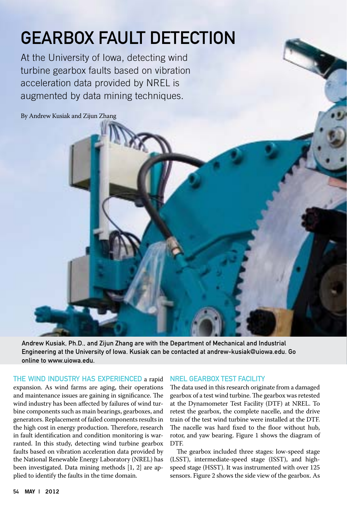# Gearbox Fault Detection

At the University of Iowa, detecting wind turbine gearbox faults based on vibration acceleration data provided by NREL is augmented by data mining techniques.

By Andrew Kusiak and Zijun Zhang

Andrew Kusiak, Ph.D., and Zijun Zhang are with the Department of Mechanical and Industrial Engineering at the University of Iowa. Kusiak can be contacted at andrew-kusiak@uiowa.edu. Go online to www.uiowa.edu.

THE WIND INDUSTRY HAS EXPERIENCED a rapid

expansion. As wind farms are aging, their operations and maintenance issues are gaining in significance. The wind industry has been affected by failures of wind turbine components such as main bearings, gearboxes, and generators. Replacement of failed components results in the high cost in energy production. Therefore, research in fault identification and condition monitoring is warranted. In this study, detecting wind turbine gearbox faults based on vibration acceleration data provided by the National Renewable Energy Laboratory (NREL) has been investigated. Data mining methods [1, 2] are applied to identify the faults in the time domain.

#### NREL Gearbox Test Facility

The data used in this research originate from a damaged gearbox of a test wind turbine. The gearbox was retested at the Dynamometer Test Facility (DTF) at NREL. To retest the gearbox, the complete nacelle, and the drive train of the test wind turbine were installed at the DTF. The nacelle was hard fixed to the floor without hub, rotor, and yaw bearing. Figure 1 shows the diagram of DTF.

The gearbox included three stages: low-speed stage (LSST), intermediate-speed stage (ISST), and highspeed stage (HSST). It was instrumented with over 125 sensors. Figure 2 shows the side view of the gearbox. As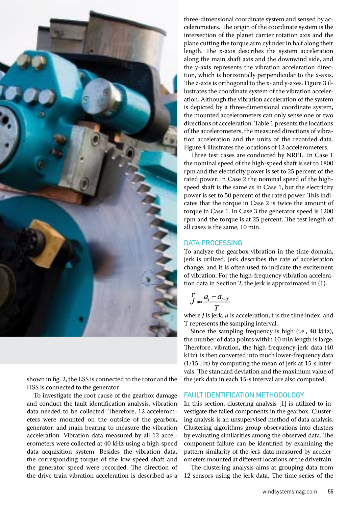

shown in fig. 2, the LSS is connected to the rotor and the HSS is connected to the generator.

To investigate the root cause of the gearbox damage and conduct the fault identification analysis, vibration data needed to be collected. Therefore, 12 accelerometers were mounted on the outside of the gearbox, generator, and main bearing to measure the vibration acceleration. Vibration data measured by all 12 accelerometers were collected at 40 kHz using a high-speed data acquisition system. Besides the vibration data, the corresponding torque of the low-speed shaft and the generator speed were recorded. The direction of the drive train vibration acceleration is described as a three-dimensional coordinate system and sensed by accelerometers. The origin of the coordinate system is the intersection of the planet carrier rotation axis and the plane cutting the torque arm cylinder in half along their length. The x-axis describes the system acceleration along the main shaft axis and the downwind side, and the y-axis represents the vibration acceleration direction, which is horizontally perpendicular to the x-axis. The z-axis is orthogonal to the x- and y-axes. Figure 3 illustrates the coordinate system of the vibration acceleration. Although the vibration acceleration of the system is depicted by a three-dimensional coordinate system, the mounted accelerometers can only sense one or two directions of acceleration. Table 1 presents the locations of the accelerometers, the measured directions of vibration acceleration and the units of the recorded data. Figure 4 illustrates the locations of 12 accelerometers.

Three test cases are conducted by NREL. In Case 1 the nominal speed of the high-speed shaft is set to 1800 rpm and the electricity power is set to 25 percent of the rated power. In Case 2 the nominal speed of the highspeed shaft is the same as in Case 1, but the electricity power is set to 50 percent of the rated power. This indicates that the torque in Case 2 is twice the amount of torque in Case 1. In Case 3 the generator speed is 1200 rpm and the torque is at 25 percent. The test length of all cases is the same, 10 min.

#### DATA PROCESSING

To analyze the gearbox vibration in the time domain, jerk is utilized. Jerk describes the rate of acceleration change, and it is often used to indicate the excitement of vibration. For the high-frequency vibration acceleration data in Section 2, the jerk is approximated in (1).

$$
J \approx \frac{a_t - a_{t-T}}{T}
$$

where *J* is jerk, *a* is acceleration, t is the time index, and T represents the sampling interval.

Since the sampling frequency is high (i.e., 40 kHz), the number of data points within 10 min length is large. Therefore, vibration, the high-frequency jerk data (40 kHz), is then converted into much lower-frequency data (1/15 Hz) by computing the mean of jerk at 15-s intervals. The standard deviation and the maximum value of the jerk data in each 15-s interval are also computed.

#### Fault Identification Methodology

In this section, clustering analysis [1] is utilized to investigate the failed components in the gearbox. Clustering analysis is an unsupervised method of data analysis. Clustering algorithms group observations into clusters by evaluating similarities among the observed data. The component failure can be identified by examining the pattern similarity of the jerk data measured by accelerometers mounted at different locations of the drivetrain.

The clustering analysis aims at grouping data from 12 sensors using the jerk data. The time series of the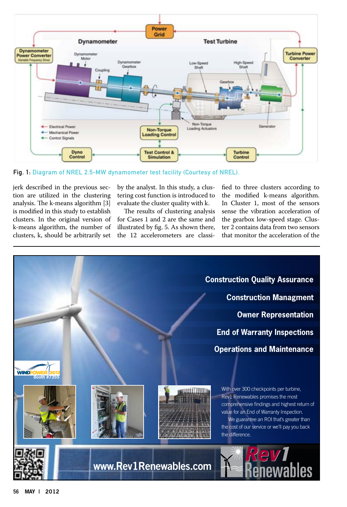

Fig. 1: Diagram of NREL 2.5-MW dynamometer test facility (Courtesy of NREL).

jerk described in the previous section are utilized in the clustering analysis. The k-means algorithm [3] is modified in this study to establish clusters. In the original version of k-means algorithm, the number of clusters, k, should be arbitrarily set

by the analyst. In this study, a clustering cost function is introduced to evaluate the cluster quality with k.

The results of clustering analysis for Cases 1 and 2 are the same and illustrated by fig. 5. As shown there, the 12 accelerometers are classified to three clusters according to the modified k-means algorithm. In Cluster 1, most of the sensors sense the vibration acceleration of the gearbox low-speed stage. Cluster 2 contains data from two sensors that monitor the acceleration of the

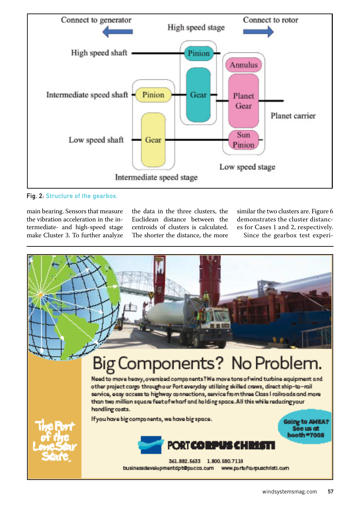

## Fig. 2: Structure of the gearbox.

main bearing. Sensors that measure the vibration acceleration in the intermediate- and high-speed stage make Cluster 3. To further analyze the data in the three clusters, the Euclidean distance between the centroids of clusters is calculated. The shorter the distance, the more similar the two clusters are. Figure 6 demonstrates the cluster distances for Cases 1 and 2, respectively. Since the gearbox test experi-

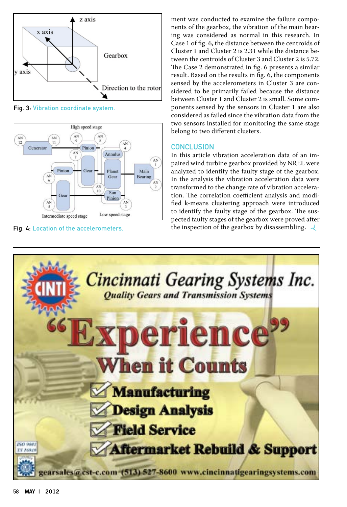

Fig. 3: Vibration coordinate system.



ment was conducted to examine the failure components of the gearbox, the vibration of the main bearing was considered as normal in this research. In Case 1 of fig. 6, the distance between the centroids of Cluster 1 and Cluster 2 is 2.31 while the distance between the centroids of Cluster 3 and Cluster 2 is 5.72. The Case 2 demonstrated in fig. 6 presents a similar result. Based on the results in fig. 6, the components sensed by the accelerometers in Cluster 3 are considered to be primarily failed because the distance between Cluster 1 and Cluster 2 is small. Some components sensed by the sensors in Cluster 1 are also considered as failed since the vibration data from the two sensors installed for monitoring the same stage belong to two different clusters.

## **CONCLUSION**

In this article vibration acceleration data of an impaired wind turbine gearbox provided by NREL were analyzed to identify the faulty stage of the gearbox. In the analysis the vibration acceleration data were transformed to the change rate of vibration acceleration. The correlation coefficient analysis and modified k-means clustering approach were introduced to identify the faulty stage of the gearbox. The suspected faulty stages of the gearbox were proved after Fig. 4: Location of the accelerometers. the inspection of the gearbox by disassembling.  $\mathcal A$